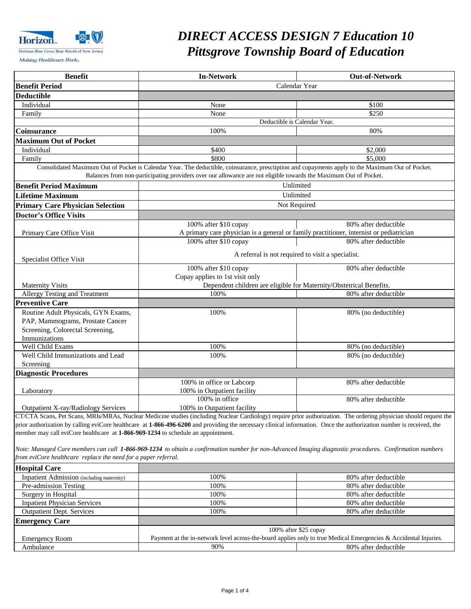

### *DIRECT ACCESS DESIGN 7 Education 10 Pittsgrove Township Board of Education Pittsgrove Township Board of Education*

 $\mathbf{I}$ 

| <b>Benefit</b>                                                                   | <b>In-Network</b>                                                                                                                                                                                                                                                     | <b>Out-of-Network</b> |
|----------------------------------------------------------------------------------|-----------------------------------------------------------------------------------------------------------------------------------------------------------------------------------------------------------------------------------------------------------------------|-----------------------|
| <b>Benefit Period</b>                                                            | Calendar Year                                                                                                                                                                                                                                                         |                       |
| <b>Deductible</b>                                                                |                                                                                                                                                                                                                                                                       |                       |
| Individual                                                                       | None                                                                                                                                                                                                                                                                  | \$100                 |
| Family                                                                           | None                                                                                                                                                                                                                                                                  | \$250                 |
|                                                                                  |                                                                                                                                                                                                                                                                       |                       |
| Coinsurance                                                                      | Deductible is Calendar Year.<br>100%<br>80%                                                                                                                                                                                                                           |                       |
|                                                                                  |                                                                                                                                                                                                                                                                       |                       |
| <b>Maximum Out of Pocket</b>                                                     |                                                                                                                                                                                                                                                                       |                       |
| Individual                                                                       | \$400                                                                                                                                                                                                                                                                 | \$2,000               |
| Family                                                                           | \$800                                                                                                                                                                                                                                                                 | \$5,000               |
|                                                                                  | Consolidated Maximum Out of Pocket is Calendar Year. The deductible, coinsurance, presctiption and copayments apply to the Maximum Out of Pocket.<br>Balances from non-participating providers over our allowance are not eligible towards the Maximum Out of Pocket. |                       |
| <b>Benefit Period Maximum</b>                                                    |                                                                                                                                                                                                                                                                       |                       |
|                                                                                  | Unlimited<br>Unlimited                                                                                                                                                                                                                                                |                       |
| <b>Lifetime Maximum</b>                                                          |                                                                                                                                                                                                                                                                       |                       |
| <b>Primary Care Physician Selection</b>                                          | Not Required                                                                                                                                                                                                                                                          |                       |
| <b>Doctor's Office Visits</b>                                                    |                                                                                                                                                                                                                                                                       |                       |
|                                                                                  | 100% after \$10 copay                                                                                                                                                                                                                                                 | 80% after deductible  |
| Primary Care Office Visit                                                        | A primary care physician is a general or family practitioner, internist or pediatrician                                                                                                                                                                               |                       |
|                                                                                  | 100% after \$10 copay                                                                                                                                                                                                                                                 | 80% after deductible  |
|                                                                                  | A referral is not required to visit a specialist.                                                                                                                                                                                                                     |                       |
| Specialist Office Visit                                                          |                                                                                                                                                                                                                                                                       |                       |
|                                                                                  | 100% after \$10 copay                                                                                                                                                                                                                                                 | 80% after deductible  |
|                                                                                  | Copay applies to 1st visit only                                                                                                                                                                                                                                       |                       |
| <b>Maternity Visits</b>                                                          | Dependent children are eligible for Maternity/Obstetrical Benefits.                                                                                                                                                                                                   |                       |
| <b>Allergy Testing and Treatment</b>                                             | 100%                                                                                                                                                                                                                                                                  | 80% after deductible  |
| <b>Preventive Care</b>                                                           |                                                                                                                                                                                                                                                                       |                       |
| Routine Adult Physicals, GYN Exams,                                              | 100%                                                                                                                                                                                                                                                                  | 80% (no deductible)   |
| PAP, Mammograms, Prostate Cancer                                                 |                                                                                                                                                                                                                                                                       |                       |
| Screening, Colorectal Screening,                                                 |                                                                                                                                                                                                                                                                       |                       |
| Immunizations                                                                    |                                                                                                                                                                                                                                                                       |                       |
| Well Child Exams                                                                 | 100%                                                                                                                                                                                                                                                                  | 80% (no deductible)   |
| Well Child Immunizations and Lead                                                | 100%                                                                                                                                                                                                                                                                  | 80% (no deductible)   |
| Screening                                                                        |                                                                                                                                                                                                                                                                       |                       |
| <b>Diagnostic Procedures</b>                                                     |                                                                                                                                                                                                                                                                       |                       |
|                                                                                  | 100% in office or Labcorp                                                                                                                                                                                                                                             | 80% after deductible  |
| Laboratory                                                                       | 100% in Outpatient facility                                                                                                                                                                                                                                           |                       |
|                                                                                  | 100% in office                                                                                                                                                                                                                                                        | 80% after deductible  |
| Outpatient X-ray/Radiology Services                                              | 100% in Outpatient facility                                                                                                                                                                                                                                           |                       |
|                                                                                  | CT/CTA Scans, Pet Scans, MRIs/MRAs, Nuclear Medicine studies (including Nuclear Cardiology) require prior authorization. The ordering physician should request the                                                                                                    |                       |
|                                                                                  | prior authorization by calling eviCore healthcare at 1-866-496-6200 and providing the necessary clinical information. Once the authorization number is received, the                                                                                                  |                       |
| member may call eviCore healthcare at 1-866-969-1234 to schedule an appointment. |                                                                                                                                                                                                                                                                       |                       |
|                                                                                  |                                                                                                                                                                                                                                                                       |                       |
|                                                                                  | Note: Managed Care members can call 1-866-969-1234 to obtain a confirmation number for non-Advanced Imaging diagnostic procedures. Confirmation numbers                                                                                                               |                       |
| from eviCore healthcare replace the need for a paper referral.                   |                                                                                                                                                                                                                                                                       |                       |
| <b>Hospital Care</b>                                                             |                                                                                                                                                                                                                                                                       |                       |
|                                                                                  | 100%                                                                                                                                                                                                                                                                  |                       |
| Inpatient Admission (including maternity)                                        | 100%                                                                                                                                                                                                                                                                  | 80% after deductible  |
| Pre-admission Testing                                                            | 100%                                                                                                                                                                                                                                                                  | 80% after deductible  |
| Surgery in Hospital                                                              |                                                                                                                                                                                                                                                                       | 80% after deductible  |
| <b>Inpatient Physician Services</b>                                              | 100%                                                                                                                                                                                                                                                                  | 80% after deductible  |
| <b>Outpatient Dept. Services</b>                                                 | 100%                                                                                                                                                                                                                                                                  | 80% after deductible  |
| <b>Emergency Care</b>                                                            |                                                                                                                                                                                                                                                                       |                       |
|                                                                                  | 100% after \$25 copay                                                                                                                                                                                                                                                 |                       |
| <b>Emergency Room</b>                                                            | Payment at the in-network level across-the-board applies only to true Medical Emergencies & Accidental Injuries.                                                                                                                                                      |                       |
| Ambulance                                                                        | 90%                                                                                                                                                                                                                                                                   | 80% after deductible  |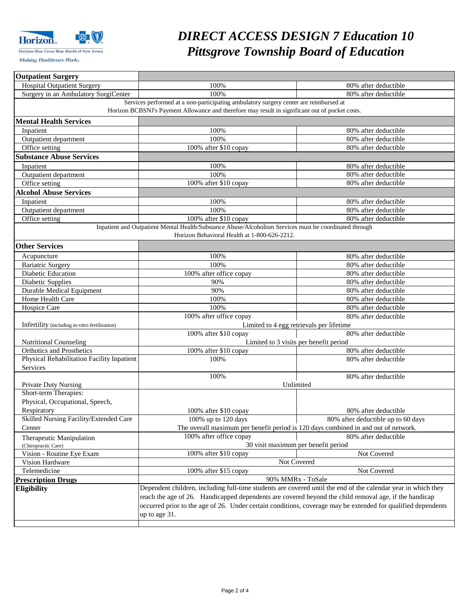

# *DIRECT ACCESS DESIGN 7 Education 10 Pittsgrove Township Board of Education*

| <b>Outpatient Surgery</b>                      |                                                                                                                                                                                                                       |                                                                                    |  |
|------------------------------------------------|-----------------------------------------------------------------------------------------------------------------------------------------------------------------------------------------------------------------------|------------------------------------------------------------------------------------|--|
| <b>Hospital Outpatient Surgery</b>             | 100%                                                                                                                                                                                                                  | 80% after deductible                                                               |  |
| Surgery in an Ambulatory SurgiCenter           | 100%                                                                                                                                                                                                                  | 80% after deductible                                                               |  |
|                                                | Services performed at a non-participating ambulatory surgery center are reimbursed at                                                                                                                                 |                                                                                    |  |
|                                                | Horizon BCBSNJ's Payment Allowance and therefore may result in significant out of pocket costs.                                                                                                                       |                                                                                    |  |
| <b>Mental Health Services</b>                  |                                                                                                                                                                                                                       |                                                                                    |  |
| Inpatient                                      | 100%                                                                                                                                                                                                                  | 80% after deductible                                                               |  |
| Outpatient department                          | 100%                                                                                                                                                                                                                  | 80% after deductible                                                               |  |
| Office setting                                 | 100% after \$10 copay                                                                                                                                                                                                 | 80% after deductible                                                               |  |
| <b>Substance Abuse Services</b>                |                                                                                                                                                                                                                       |                                                                                    |  |
| Inpatient                                      | 100%                                                                                                                                                                                                                  | 80% after deductible                                                               |  |
| Outpatient department                          | 100%                                                                                                                                                                                                                  | 80% after deductible                                                               |  |
| Office setting                                 | 100% after \$10 copay                                                                                                                                                                                                 | 80% after deductible                                                               |  |
| <b>Alcohol Abuse Services</b>                  |                                                                                                                                                                                                                       |                                                                                    |  |
| Inpatient                                      | 100%                                                                                                                                                                                                                  | 80% after deductible                                                               |  |
| Outpatient department                          | 100%                                                                                                                                                                                                                  | 80% after deductible                                                               |  |
| Office setting                                 | 100% after \$10 copay                                                                                                                                                                                                 | 80% after deductible                                                               |  |
|                                                | Inpatient and Outpatient Mental Health/Substance Abuse/Alcoholism Services must be coordinated through                                                                                                                |                                                                                    |  |
|                                                | Horizon Behavioral Health at 1-800-626-2212.                                                                                                                                                                          |                                                                                    |  |
| <b>Other Services</b>                          |                                                                                                                                                                                                                       |                                                                                    |  |
| Acupuncture                                    | 100%                                                                                                                                                                                                                  | 80% after deductible                                                               |  |
| <b>Bariatric Surgery</b>                       | 100%                                                                                                                                                                                                                  | 80% after deductible                                                               |  |
| Diabetic Education                             | 100% after office copay                                                                                                                                                                                               | 80% after deductible                                                               |  |
| Diabetic Supplies                              | 90%                                                                                                                                                                                                                   | 80% after deductible                                                               |  |
| Durable Medical Equipment                      | 90%                                                                                                                                                                                                                   | 80% after deductible                                                               |  |
| Home Health Care                               | 100%                                                                                                                                                                                                                  | 80% after deductible                                                               |  |
| Hospice Care                                   | 100%                                                                                                                                                                                                                  | 80% after deductible                                                               |  |
|                                                | 100% after office copay                                                                                                                                                                                               | 80% after deductible                                                               |  |
| Infertility (including in-vitro fertilization) | Limited to 4 egg retrievals per lifetime                                                                                                                                                                              |                                                                                    |  |
|                                                | 100% after \$10 copay                                                                                                                                                                                                 | 80% after deductible                                                               |  |
| <b>Nutritional Counseling</b>                  |                                                                                                                                                                                                                       | Limited to 3 visits per benefit period                                             |  |
| <b>Orthotics and Prosthetics</b>               | 100% after \$10 copay                                                                                                                                                                                                 | 80% after deductible                                                               |  |
| Physical Rehabilitation Facility Inpatient     | 100%                                                                                                                                                                                                                  | 80% after deductible                                                               |  |
| Services                                       |                                                                                                                                                                                                                       |                                                                                    |  |
|                                                | 100%                                                                                                                                                                                                                  | 80% after deductible                                                               |  |
| <b>Private Duty Nursing</b>                    |                                                                                                                                                                                                                       | Unlimited                                                                          |  |
| Short-term Therapies:                          |                                                                                                                                                                                                                       |                                                                                    |  |
| Physical, Occupational, Speech,                |                                                                                                                                                                                                                       |                                                                                    |  |
| Respiratory                                    | 100% after \$10 copay                                                                                                                                                                                                 | 80% after deductible                                                               |  |
| Skilled Nursing Facility/Extended Care         | $100\%$ up to $120$ days                                                                                                                                                                                              | 80% after deductible up to 60 days                                                 |  |
| Center                                         |                                                                                                                                                                                                                       | The overall maximum per benefit period is 120 days combined in and out of network. |  |
| Therapeutic Manipulation                       | 100% after office copay                                                                                                                                                                                               | 80% after deductible                                                               |  |
| (Chiropractic Care)                            |                                                                                                                                                                                                                       | 30 visit maximum per benefit period                                                |  |
| Vision - Routine Eye Exam                      | 100% after \$10 copay<br>Not Covered                                                                                                                                                                                  |                                                                                    |  |
| Vision Hardware                                | Not Covered                                                                                                                                                                                                           |                                                                                    |  |
| Telemedicine                                   | 100% after \$15 copay<br>Not Covered                                                                                                                                                                                  |                                                                                    |  |
| <b>Prescription Drugs</b>                      |                                                                                                                                                                                                                       | 90% MMRx - ToSale                                                                  |  |
| Eligibility                                    | Dependent children, including full-time students are covered until the end of the calendar year in which they                                                                                                         |                                                                                    |  |
|                                                | reach the age of 26. Handicapped dependents are covered beyond the child removal age, if the handicap<br>occurred prior to the age of 26. Under certain conditions, coverage may be extended for qualified dependents |                                                                                    |  |
|                                                |                                                                                                                                                                                                                       |                                                                                    |  |
|                                                | up to age 31.                                                                                                                                                                                                         |                                                                                    |  |
|                                                |                                                                                                                                                                                                                       |                                                                                    |  |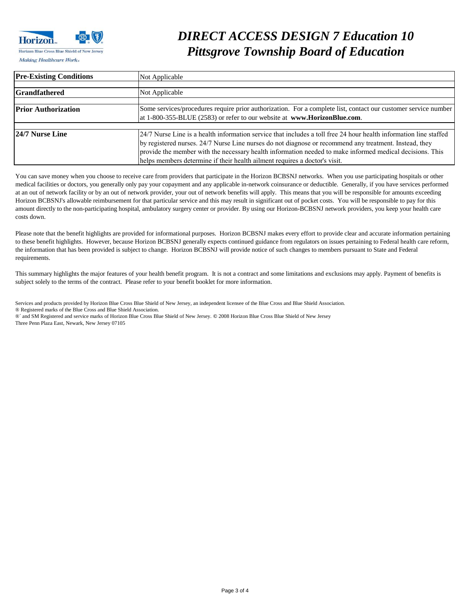

## *DIRECT ACCESS DESIGN 7 Education 10 Pittsgrove Township Board of Education <i>Making Healthcare Works Pittsgrove Township Board of Education*

| <b>Pre-Existing Conditions</b> | Not Applicable                                                                                                    |  |
|--------------------------------|-------------------------------------------------------------------------------------------------------------------|--|
|                                |                                                                                                                   |  |
| <b>Grandfathered</b>           | Not Applicable                                                                                                    |  |
|                                |                                                                                                                   |  |
| <b>Prior Authorization</b>     | Some services/procedures require prior authorization. For a complete list, contact our customer service number    |  |
|                                | at 1-800-355-BLUE (2583) or refer to our website at www.HorizonBlue.com.                                          |  |
|                                |                                                                                                                   |  |
| 124/7 Nurse Line               | 24/7 Nurse Line is a health information service that includes a toll free 24 hour health information line staffed |  |
|                                | by registered nurses. 24/7 Nurse Line nurses do not diagnose or recommend any treatment. Instead, they            |  |
|                                | provide the member with the necessary health information needed to make informed medical decisions. This          |  |
|                                | helps members determine if their health ailment requires a doctor's visit.                                        |  |

You can save money when you choose to receive care from providers that participate in the Horizon BCBSNJ networks. When you use participating hospitals or other medical facilities or doctors, you generally only pay your copayment and any applicable in-network coinsurance or deductible. Generally, if you have services performed at an out of network facility or by an out of network provider, your out of network benefits will apply. This means that you will be responsible for amounts exceeding Horizon BCBSNJ's allowable reimbursement for that particular service and this may result in significant out of pocket costs. You will be responsible to pay for this amount directly to the non-participating hospital, ambulatory surgery center or provider. By using our Horizon-BCBSNJ network providers, you keep your health care costs down.

Please note that the benefit highlights are provided for informational purposes. Horizon BCBSNJ makes every effort to provide clear and accurate information pertaining to these benefit highlights. However, because Horizon BCBSNJ generally expects continued guidance from regulators on issues pertaining to Federal health care reform, the information that has been provided is subject to change. Horizon BCBSNJ will provide notice of such changes to members pursuant to State and Federal requirements.

This summary highlights the major features of your health benefit program. It is not a contract and some limitations and exclusions may apply. Payment of benefits is subject solely to the terms of the contract. Please refer to your benefit booklet for more information.

Services and products provided by Horizon Blue Cross Blue Shield of New Jersey, an independent licensee of the Blue Cross and Blue Shield Association. ® Registered marks of the Blue Cross and Blue Shield Association. ®´ and SM Registered and service marks of Horizon Blue Cross Blue Shield of New Jersey. **©** 2008 Horizon Blue Cross Blue Shield of New Jersey Three Penn Plaza East, Newark, New Jersey 07105